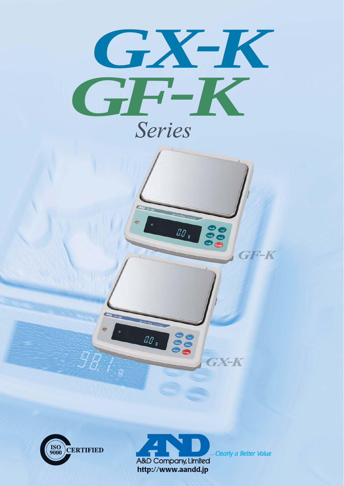





**Pee** 

**The Nate File diets** 

 $\boxed{IIP_s}$ 

00.00

...Clearly a Better Value

**GX-K** 

GF-K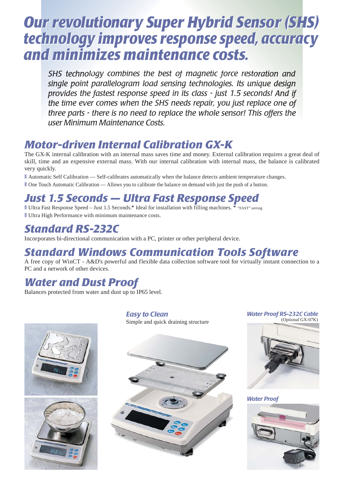# *Our revolutionary Super Hybrid Sensor (SHS) Our revolutionary Super Hybrid Sensor (SHS) technology improves response speed, accuracy technology improves response speed, accuracy and minimizes maintenance costs. and minimizes maintenance costs.*

*SHS technology combines the best of magnetic force restoration and* single point parallelogram load sensing technologies. Its unique design provides the fastest response speed in its class - just 1.5 seconds! And if the time ever comes when the SHS needs repair, you just replace one of *three parts - there is no need to replace the whole sensor! This offers the user Minimum Maintenance Costs.*

# *Motor-driven Internal Calibration GX-K*

The GX-K internal calibration with an internal mass saves time and money. External calibration requires a great deal of skill, time and an expensive external mass. With our internal calibration with internal mass, the balance is calibrated very quickly.

■ Automatic Self Calibration — Self-calibrates automatically when the balance detects ambient temperature changes.

■ One Touch Automatic Calibration — Allows you to calibrate the balance on demand with just the push of a button.

# *Just 1.5 Seconds — Ultra Fast Response Speed*

■ Ultra Fast Response Speed – Just 1.5 Seconds.\* Ideal for installation with filling machines. <sup>\*</sup> "FAST" setting ■ Ultra High Performance with minimum maintenance costs.

# *Standard RS-232C*

Incorporates bi-directional communication with a PC, printer or other peripheral device.

# *Standard Windows Communication Tools Software*

A free copy of WinCT - A&D's powerful and flexible data collection software tool for virtually instant connection to a PC and a network of other devices.

## *Water and Dust Proof*

Balances protected from water and dust up to IP65 level.



*Easy to Clean* Simple and quick draining structure





*Water Proof* 

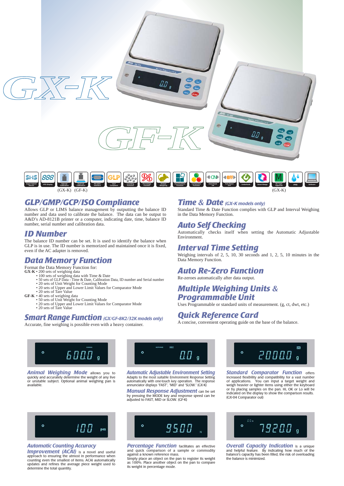



#### *GLP/GMP/GCP/ISO Compliance*

Allows GLP or LIMS balance management by outputting the balance ID number and data used to calibrate the balance. The data can be output to A&D's AD-8121B printer or a computer, indicating date, time, balance ID number, serial number and calibration data.

#### *ID Number*

The balance ID number can be set. It is used to identify the balance when GLP is in use. The ID number is memorized and maintained once it is fixed, even if the AC adapter is removed.

## *Data Memory Function*

Format the Data Memory Function for:

- 
- **GX-K •** 200 sets of weighing data<br>• 100 sets of weighing data with Time & Date<br>• 50 sets of GLP Data Time & Date, Calibration Data, ID number and Serial number<br>• 20 sets of Unit Weight for Counting Mode<br>• 20 sets of Up
	-
	-
- -
- GF-K 40 sets of weighing data<br>• 50 sets of Unit Weight for Counting Mode<br>• 20 sets of Upper and Lower Limit Values for Comparator Mode<br>• 20 sets of Tare Value
	-

#### *Smart Range Function (GX/GF-8K2/32K models only)*

Accurate, fine weighing is possible even with a heavy container.

#### *Time & Date (GX-K models only)*

Standard Time & Date Function complies with GLP and Interval Weighing in the Data Memory Function.

#### *Auto Self Checking*

Automatically checks itself when setting the Automatic Adjustable Environment.

## *Interval Time Setting*

Weighing intervals of 2, 5, 10, 30 seconds and 1, 2, 5, 10 minutes in the Data Memory Function.

## *Auto Re-Zero Function*

Re-zeroes automatically after data output.

## *Multiple Weighing Units & Programmable Unit*

Uses Programmable or standard units of measurement. (g, ct, dwt, etc.)

#### *Quick Reference Card*

A concise, convenient operating guide on the base of the balance.



**Animal Weighing Mode** allows you to quickly and accurately determine the weight of any live or unstable subject. Optional animal weighing pan is available.



*Automatic Adjustable Environment Setting* Adapts to the most suitable Environment Response Setting automatically with one-touch key operation. The response annunciator displays "FAST", "MID" and "SLOW." (GX-K)

*Manual Response Adjustment* can be set by pressing the MODE key and response speed can be adjusted to FAST, MID or SLOW. (GF-K)



#### *Automatic Counting Accuracy*

**Improvement (ACAI)** is a novel and useful approach to ensuring the utmost in performance when counting even the smallest of items. ACAI automatically updates and refines the average piece weight used to determine the total quantity.



*Percentage Function* facilitates an effective and quick comparison of a sample or commodity against a known reference mass. Simply place an object on the pan to register its weight as 100%. Place another object on the pan to compare its weight in percentage mode.



*Standard Comparator Function offers* increased flexibility and compatibility for a vast number of applications. You can input a target weight and weigh heavier or lighter items using either the keyboard or by placing samples on the pan. Hi, OK or Lo will be indicated on the display to show the comparison results. (GX-04 Comparator out)



*Overall Capacity Indication* is a unique and helpful feature. By indicating how much of the balance's capacity has been filled, the risk of overloading the balance is minimized.